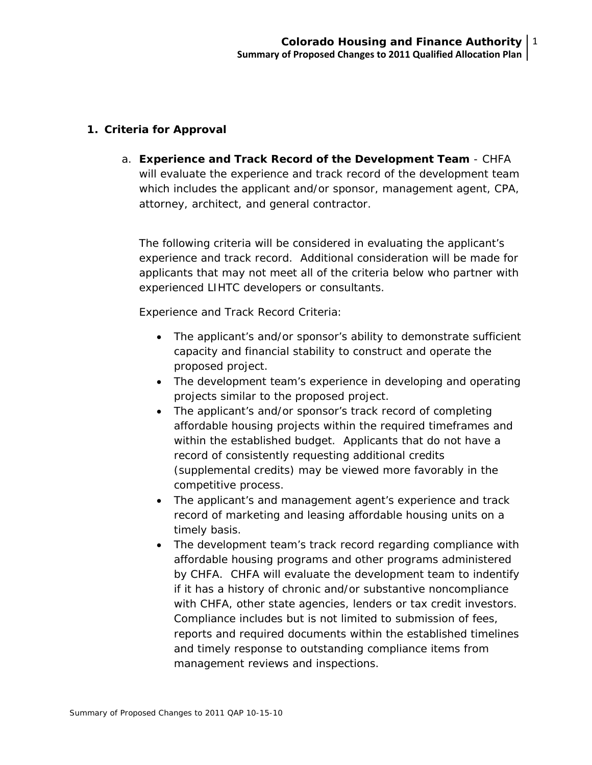## **1. Criteria for Approval**

a. **Experience and Track Record of the Development Team** - CHFA will evaluate the experience and track record of the development team which includes the applicant and/or sponsor, management agent, CPA, attorney, architect, and general contractor.

The following criteria will be considered in evaluating the applicant's experience and track record. Additional consideration will be made for applicants that may not meet all of the criteria below who partner with experienced LIHTC developers or consultants.

Experience and Track Record Criteria:

- The applicant's and/or sponsor's ability to demonstrate sufficient capacity and financial stability to construct and operate the proposed project.
- The development team's experience in developing and operating projects similar to the proposed project.
- The applicant's and/or sponsor's track record of completing affordable housing projects within the required timeframes and within the established budget. Applicants that do not have a record of consistently requesting additional credits (supplemental credits) may be viewed more favorably in the competitive process.
- The applicant's and management agent's experience and track record of marketing and leasing affordable housing units on a timely basis.
- The development team's track record regarding compliance with affordable housing programs and other programs administered by CHFA. CHFA will evaluate the development team to indentify if it has a history of chronic and/or substantive noncompliance with CHFA, other state agencies, lenders or tax credit investors. Compliance includes but is not limited to submission of fees, reports and required documents within the established timelines and timely response to outstanding compliance items from management reviews and inspections.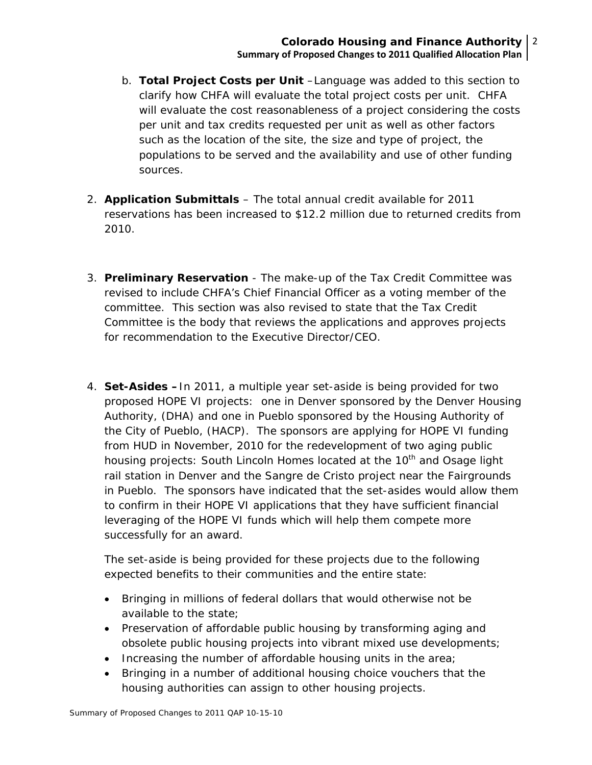- b. **Total Project Costs per Unit** –Language was added to this section to clarify how CHFA will evaluate the total project costs per unit. CHFA will evaluate the cost reasonableness of a project considering the costs per unit and tax credits requested per unit as well as other factors such as the location of the site, the size and type of project, the populations to be served and the availability and use of other funding sources.
- 2. **Application Submittals** The total annual credit available for 2011 reservations has been increased to \$12.2 million due to returned credits from 2010.
- 3. **Preliminary Reservation** The make-up of the Tax Credit Committee was revised to include CHFA's Chief Financial Officer as a voting member of the committee. This section was also revised to state that the Tax Credit Committee is the body that reviews the applications and approves projects for recommendation to the Executive Director/CEO.
- 4. **Set-Asides –**In 2011, a multiple year set-aside is being provided for two proposed HOPE VI projects: one in Denver sponsored by the Denver Housing Authority, (DHA) and one in Pueblo sponsored by the Housing Authority of the City of Pueblo, (HACP). The sponsors are applying for HOPE VI funding from HUD in November, 2010 for the redevelopment of two aging public housing projects: South Lincoln Homes located at the 10<sup>th</sup> and Osage light rail station in Denver and the Sangre de Cristo project near the Fairgrounds in Pueblo. The sponsors have indicated that the set-asides would allow them to confirm in their HOPE VI applications that they have sufficient financial leveraging of the HOPE VI funds which will help them compete more successfully for an award.

The set-aside is being provided for these projects due to the following expected benefits to their communities and the entire state:

- Bringing in millions of federal dollars that would otherwise not be available to the state;
- Preservation of affordable public housing by transforming aging and obsolete public housing projects into vibrant mixed use developments;
- Increasing the number of affordable housing units in the area;
- Bringing in a number of additional housing choice vouchers that the housing authorities can assign to other housing projects.